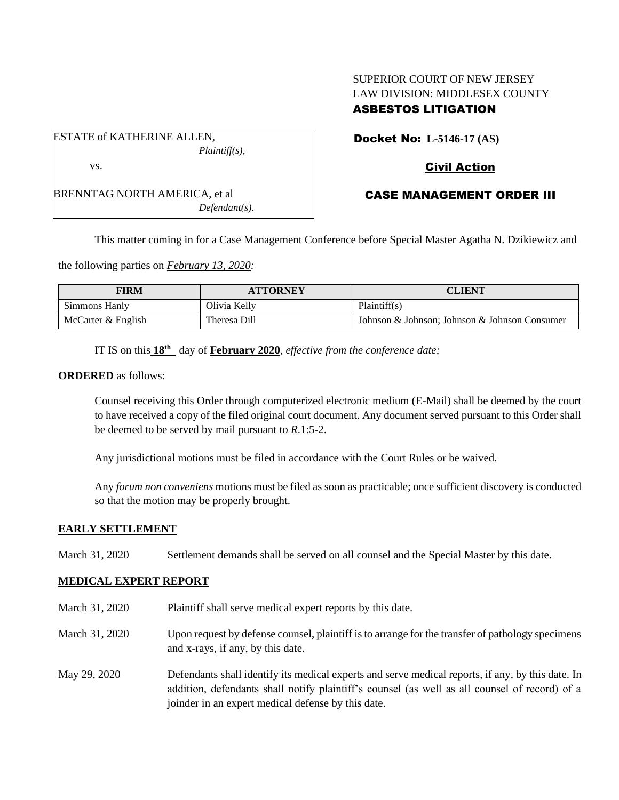# SUPERIOR COURT OF NEW JERSEY LAW DIVISION: MIDDLESEX COUNTY ASBESTOS LITIGATION

ESTATE of KATHERINE ALLEN, *Plaintiff(s),* vs.

BRENNTAG NORTH AMERICA, et al *Defendant(s).* Docket No: **L-5146-17 (AS)**

# Civil Action

# CASE MANAGEMENT ORDER III

This matter coming in for a Case Management Conference before Special Master Agatha N. Dzikiewicz and

the following parties on *February 13, 2020:*

| FIRM               | <b>ATTORNEY</b> | CLIENT                                        |
|--------------------|-----------------|-----------------------------------------------|
| Simmons Hanly      | Olivia Kelly    | Plaintiff(s)                                  |
| McCarter & English | Theresa Dill    | Johnson & Johnson; Johnson & Johnson Consumer |

IT IS on this **18th** day of **February 2020**, *effective from the conference date;*

**ORDERED** as follows:

Counsel receiving this Order through computerized electronic medium (E-Mail) shall be deemed by the court to have received a copy of the filed original court document. Any document served pursuant to this Order shall be deemed to be served by mail pursuant to *R*.1:5-2.

Any jurisdictional motions must be filed in accordance with the Court Rules or be waived.

Any *forum non conveniens* motions must be filed as soon as practicable; once sufficient discovery is conducted so that the motion may be properly brought.

## **EARLY SETTLEMENT**

March 31, 2020 Settlement demands shall be served on all counsel and the Special Master by this date.

## **MEDICAL EXPERT REPORT**

- March 31, 2020 Plaint if shall serve medical expert reports by this date.
- March 31, 2020 Upon request by defense counsel, plaintiff is to arrange for the transfer of pathology specimens and x-rays, if any, by this date.
- May 29, 2020 Defendants shall identify its medical experts and serve medical reports, if any, by this date. In addition, defendants shall notify plaintiff's counsel (as well as all counsel of record) of a joinder in an expert medical defense by this date.